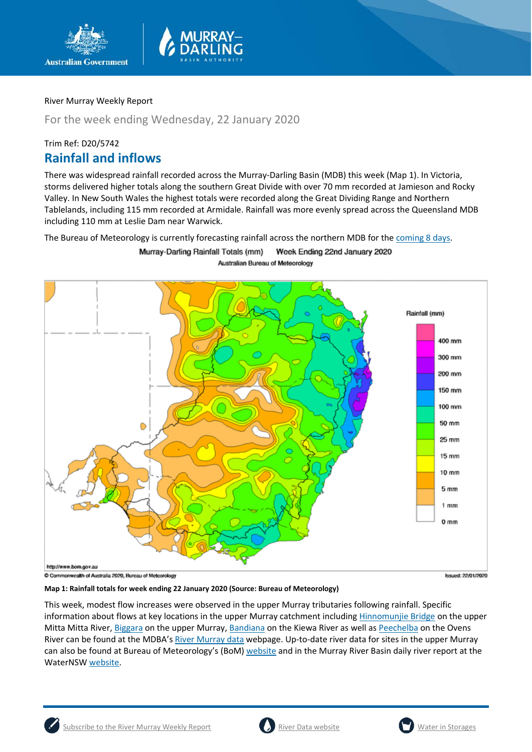

For the week ending Wednesday, 22 January 2020

## Trim Ref: D20/5742 **Rainfall and inflows**

There was widespread rainfall recorded across the Murray-Darling Basin (MDB) this week (Map 1). In Victoria, storms delivered higher totals along the southern Great Divide with over 70 mm recorded at Jamieson and Rocky Valley. In New South Wales the highest totals were recorded along the Great Dividing Range and Northern Tablelands, including 115 mm recorded at Armidale. Rainfall was more evenly spread across the Queensland MDB including 110 mm at Leslie Dam near Warwick.

The Bureau of Meteorology is currently forecasting rainfall across the northern MDB for the [coming 8 days.](http://www.bom.gov.au/jsp/watl/rainfall/pme.jsp)

Murray-Darling Rainfall Totals (mm) Week Ending 22nd January 2020

Australian Bureau of Meteorology



Issued: 22/01/2020

**Map 1: Rainfall totals for week ending 22 January 2020 (Source: Bureau of Meteorology)**

This week, modest flow increases were observed in the upper Murray tributaries following rainfall. Specific information about flows at key locations in the upper Murray catchment including [Hinnomunjie Bridge](https://riverdata.mdba.gov.au/hinnomunjie) on the upper Mitta Mitta River, [Biggara](https://riverdata.mdba.gov.au/biggara) on the upper Murray[, Bandiana](https://riverdata.mdba.gov.au/bandiana) on the Kiewa River as well as [Peechelba](https://riverdata.mdba.gov.au/peechelba) on the Ovens River can be found at the MDBA's [River Murray data](https://riverdata.mdba.gov.au/system-view) webpage. Up-to-date river data for sites in the upper Murray can also be found at Bureau of Meteorology's (BoM[\) website](http://www.bom.gov.au/cgi-bin/wrap_fwo.pl?IDV60151.html) and in the Murray River Basin daily river report at the WaterNS[W website.](https://realtimedata.waternsw.com.au/water.stm)

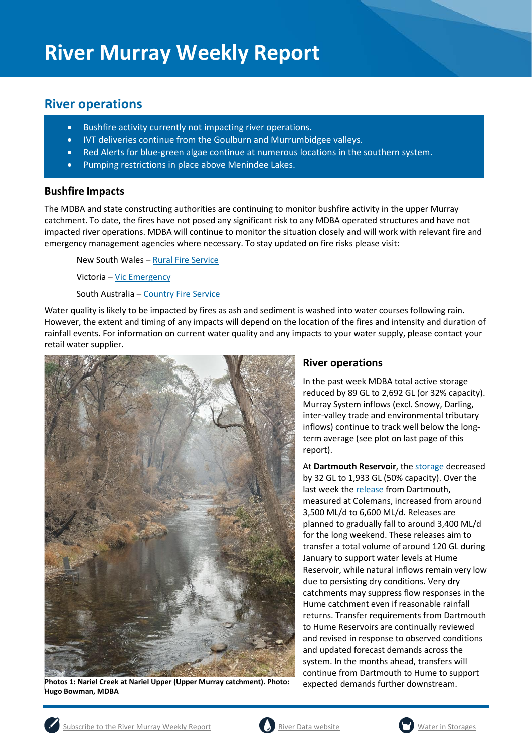## **River operations**

- Bushfire activity currently not impacting river operations.
- IVT deliveries continue from the Goulburn and Murrumbidgee valleys.
- Red Alerts for blue-green algae continue at numerous locations in the southern system.
- Pumping restrictions in place above Menindee Lakes.

#### **Bushfire Impacts**

The MDBA and state constructing authorities are continuing to monitor bushfire activity in the upper Murray catchment. To date, the fires have not posed any significant risk to any MDBA operated structures and have not impacted river operations. MDBA will continue to monitor the situation closely and will work with relevant fire and emergency management agencies where necessary. To stay updated on fire risks please visit:

New South Wales – [Rural Fire Service](https://www.rfs.nsw.gov.au/)

Victoria – [Vic Emergency](https://www.emergency.vic.gov.au/respond/)

South Australia – [Country Fire Service](https://www.cfs.sa.gov.au/site/warnings_and_incidents.jsp)

Water quality is likely to be impacted by fires as ash and sediment is washed into water courses following rain. However, the extent and timing of any impacts will depend on the location of the fires and intensity and duration of rainfall events. For information on current water quality and any impacts to your water supply, please contact your retail water supplier.



**Photos 1: Nariel Creek at Nariel Upper (Upper Murray catchment). Photo: Hugo Bowman, MDBA**

### **River operations**

In the past week MDBA total active storage reduced by 89 GL to 2,692 GL (or 32% capacity). Murray System inflows (excl. Snowy, Darling, inter-valley trade and environmental tributary inflows) continue to track well below the longterm average (see plot on last page of this report).

At **Dartmouth Reservoir**, the [storage](https://riverdata.mdba.gov.au/dartmouth-dam) decreased by 32 GL to 1,933 GL (50% capacity). Over the last week th[e release](https://riverdata.mdba.gov.au/colemans) from Dartmouth, measured at Colemans, increased from around 3,500 ML/d to 6,600 ML/d. Releases are planned to gradually fall to around 3,400 ML/d for the long weekend. These releases aim to transfer a total volume of around 120 GL during January to support water levels at Hume Reservoir, while natural inflows remain very low due to persisting dry conditions. Very dry catchments may suppress flow responses in the Hume catchment even if reasonable rainfall returns. Transfer requirements from Dartmouth to Hume Reservoirs are continually reviewed and revised in response to observed conditions and updated forecast demands across the system. In the months ahead, transfers will continue from Dartmouth to Hume to support expected demands further downstream.



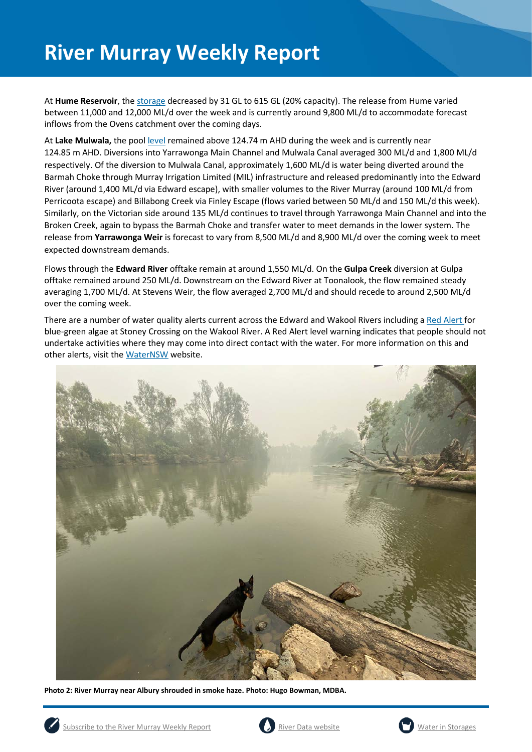At **Hume Reservoir**, the [storage](https://riverdata.mdba.gov.au/hume-dam) decreased by 31 GL to 615 GL (20% capacity). The release from Hume varied between 11,000 and 12,000 ML/d over the week and is currently around 9,800 ML/d to accommodate forecast inflows from the Ovens catchment over the coming days.

At **Lake Mulwala,** the pool [level](https://riverdata.mdba.gov.au/yarrawonga-weir-upstream) remained above 124.74 m AHD during the week and is currently near 124.85 m AHD. Diversions into Yarrawonga Main Channel and Mulwala Canal averaged 300 ML/d and 1,800 ML/d respectively. Of the diversion to Mulwala Canal, approximately 1,600 ML/d is water being diverted around the Barmah Choke through Murray Irrigation Limited (MIL) infrastructure and released predominantly into the Edward River (around 1,400 ML/d via Edward escape), with smaller volumes to the River Murray (around 100 ML/d from Perricoota escape) and Billabong Creek via Finley Escape (flows varied between 50 ML/d and 150 ML/d this week). Similarly, on the Victorian side around 135 ML/d continues to travel through Yarrawonga Main Channel and into the Broken Creek, again to bypass the Barmah Choke and transfer water to meet demands in the lower system. The release from **Yarrawonga Weir** is forecast to vary from 8,500 ML/d and 8,900 ML/d over the coming week to meet expected downstream demands.

Flows through the **Edward River** offtake remain at around 1,550 ML/d. On the **Gulpa Creek** diversion at Gulpa offtake remained around 250 ML/d. Downstream on the Edward River at Toonalook, the flow remained steady averaging 1,700 ML/d. At Stevens Weir, the flow averaged 2,700 ML/d and should recede to around 2,500 ML/d over the coming week.

There are a number of water quality alerts current across the Edward and Wakool Rivers including [a Red Alert](https://www.waternsw.com.au/about/newsroom/2019/blue-green-algae-red-alert-for-murrumbidgee-river-at-redbank-weir2) for blue-green algae at Stoney Crossing on the Wakool River. A Red Alert level warning indicates that people should not undertake activities where they may come into direct contact with the water. For more information on this and other alerts, visit th[e WaterNSW](https://www.waternsw.com.au/water-quality/algae) website.



**Photo 2: River Murray near Albury shrouded in smoke haze. Photo: Hugo Bowman, MDBA.**





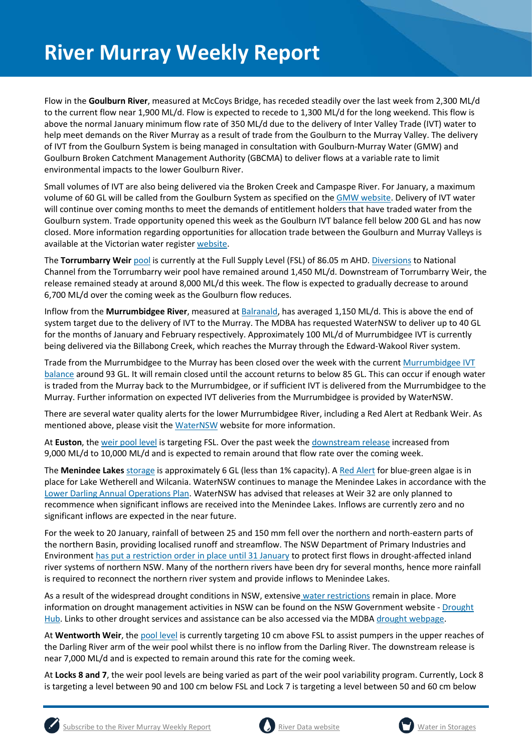Flow in the **Goulburn River**, measured at McCoys Bridge, has receded steadily over the last week from 2,300 ML/d to the current flow near 1,900 ML/d. Flow is expected to recede to 1,300 ML/d for the long weekend. This flow is above the normal January minimum flow rate of 350 ML/d due to the delivery of Inter Valley Trade (IVT) water to help meet demands on the River Murray as a result of trade from the Goulburn to the Murray Valley. The delivery of IVT from the Goulburn System is being managed in consultation with Goulburn-Murray Water (GMW) and Goulburn Broken Catchment Management Authority (GBCMA) to deliver flows at a variable rate to limit environmental impacts to the lower Goulburn River.

Small volumes of IVT are also being delivered via the Broken Creek and Campaspe River. For January, a maximum volume of 60 GL will be called from the Goulburn System as specified on th[e GMW website.](https://www.g-mwater.com.au/water-resources/managing-water-storages) Delivery of IVT water will continue over coming months to meet the demands of entitlement holders that have traded water from the Goulburn system. Trade opportunity opened this week as the Goulburn IVT balance fell below 200 GL and has now closed. More information regarding opportunities for allocation trade between the Goulburn and Murray Valleys is available at the Victorian water registe[r website.](http://waterregister.vic.gov.au/water-trading/allocation-trading#AllocationTradeOpportunities)

The **Torrumbarry Weir** [pool](https://riverdata.mdba.gov.au/torrumbarry-weir-lock-26) is currently at the Full Supply Level (FSL) of 86.05 m AHD. [Diversions](https://riverdata.mdba.gov.au/national-channel-ds-torrumbarry-headworks) to National Channel from the Torrumbarry weir pool have remained around 1,450 ML/d. Downstream of Torrumbarry Weir, the release remained steady at around 8,000 ML/d this week. The flow is expected to gradually decrease to around 6,700 ML/d over the coming week as the Goulburn flow reduces.

Inflow from the **Murrumbidgee River**, measured a[t Balranald,](https://riverdata.mdba.gov.au/balranald-weir-downstream) has averaged 1,150 ML/d. This is above the end of system target due to the delivery of IVT to the Murray. The MDBA has requested WaterNSW to deliver up to 40 GL for the months of January and February respectively. Approximately 100 ML/d of Murrumbidgee IVT is currently being delivered via the Billabong Creek, which reaches the Murray through the Edward-Wakool River system.

Trade from the Murrumbidgee to the Murray has been closed over the week with the current [Murrumbidgee IVT](https://www.waternsw.com.au/customer-service/ordering-trading-and-pricing/trading/murrumbidgee)  [balance](https://www.waternsw.com.au/customer-service/ordering-trading-and-pricing/trading/murrumbidgee) around 93 GL. It will remain closed until the account returns to below 85 GL. This can occur if enough water is traded from the Murray back to the Murrumbidgee, or if sufficient IVT is delivered from the Murrumbidgee to the Murray. Further information on expected IVT deliveries from the Murrumbidgee is provided by WaterNSW.

There are several water quality alerts for the lower Murrumbidgee River, including a Red Alert at Redbank Weir. As mentioned above, please visit the [WaterNSW](https://www.waternsw.com.au/water-quality/algae) website for more information.

At **Euston**, the [weir pool level](https://riverdata.mdba.gov.au/euston-weir-upstream) is targeting FSL. Over the past week the [downstream release](https://riverdata.mdba.gov.au/euston-weir-downstream) increased from 9,000 ML/d to 10,000 ML/d and is expected to remain around that flow rate over the coming week.

The **Menindee Lakes** storage is approximately 6 GL (less than 1% capacity). A [Red Alert](https://www.waternsw.com.au/about/newsroom/2019/blue-green-algae-red-alert-for-lake-wetherell-site-3,-upstream-from-menindee) for blue-green algae is in place for Lake Wetherell and Wilcania. WaterNSW continues to manage the Menindee Lakes in accordance with the [Lower Darling Annual Operations Plan.](https://www.waternsw.com.au/supply/regional-nsw/operations) WaterNSW has advised that releases at Weir 32 are only planned to recommence when significant inflows are received into the Menindee Lakes. Inflows are currently zero and no significant inflows are expected in the near future.

For the week to 20 January, rainfall of between 25 and 150 mm fell over the northern and north-eastern parts of the northern Basin, providing localised runoff and streamflow. The NSW Department of Primary Industries and Environment has [put a restriction order in place until 31 January](https://www.industry.nsw.gov.au/water/allocations-availability/temporary-water-restrictions/northern-nsw-mdb) to protect first flows in drought-affected inland river systems of northern NSW. Many of the northern rivers have been dry for several months, hence more rainfall is required to reconnect the northern river system and provide inflows to Menindee Lakes.

As a result of the widespread drought conditions in NSW, extensive [water restrictions](https://www.waternsw.com.au/about/newsroom/2018/waternsw-confirms-restrictions-for-lower-darling-customers) remain in place. More information on drought management activities in NSW can be found on the NSW Government website - [Drought](https://www.dpi.nsw.gov.au/climate-and-emergencies/droughthub)  [Hub.](https://www.dpi.nsw.gov.au/climate-and-emergencies/droughthub) Links to other drought services and assistance can be also accessed via the MDB[A drought webpage.](https://www.mdba.gov.au/managing-water/drought-murray-darling-basin)

At **Wentworth Weir**, th[e pool level](https://riverdata.mdba.gov.au/wentworth-weir-lock-10) is currently targeting 10 cm above FSL to assist pumpers in the upper reaches of the Darling River arm of the weir pool whilst there is no inflow from the Darling River. The downstream release is near 7,000 ML/d and is expected to remain around this rate for the coming week.

At **Locks 8 and 7**, the weir pool levels are being varied as part of the weir pool variability program. Currently, Lock 8 is targeting a level between 90 and 100 cm below FSL and Lock 7 is targeting a level between 50 and 60 cm below





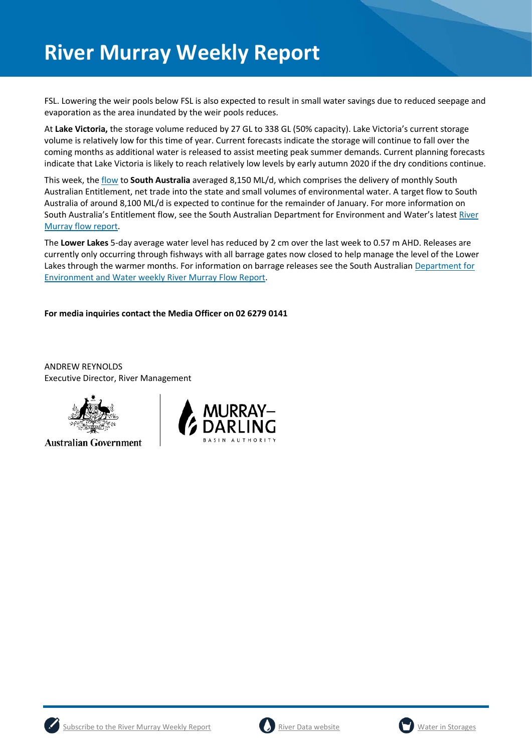FSL. Lowering the weir pools below FSL is also expected to result in small water savings due to reduced seepage and evaporation as the area inundated by the weir pools reduces.

At **Lake Victoria,** the storage volume reduced by 27 GL to 338 GL (50% capacity). Lake Victoria's current storage volume is relatively low for this time of year. Current forecasts indicate the storage will continue to fall over the coming months as additional water is released to assist meeting peak summer demands. Current planning forecasts indicate that Lake Victoria is likely to reach relatively low levels by early autumn 2020 if the dry conditions continue.

This week, th[e flow](https://riverdata.mdba.gov.au/flow-south-australia-calculated) to **South Australia** averaged 8,150 ML/d, which comprises the delivery of monthly South Australian Entitlement, net trade into the state and small volumes of environmental water. A target flow to South Australia of around 8,100 ML/d is expected to continue for the remainder of January. For more information on South Australia's Entitlement flow, see the South Australian Department for Environment and Water's latest [River](https://www.waterconnect.sa.gov.au/River-Murray/SitePages/2019%20Flow%20Reports.aspx)  [Murray flow report.](https://www.waterconnect.sa.gov.au/River-Murray/SitePages/2019%20Flow%20Reports.aspx)

The **Lower Lakes** 5-day average water level has reduced by 2 cm over the last week to 0.57 m AHD. Releases are currently only occurring through fishways with all barrage gates now closed to help manage the level of the Lower Lakes through the warmer months. For information on barrage releases see the South Australian Department for [Environment and Water weekly River Murray Flow Report.](https://www.waterconnect.sa.gov.au/River-Murray/SitePages/River%20Murray%20Flow%20Reports.aspx)

#### **For media inquiries contact the Media Officer on 02 6279 0141**

ANDREW REYNOLDS Executive Director, River Management



**Australian Government** 







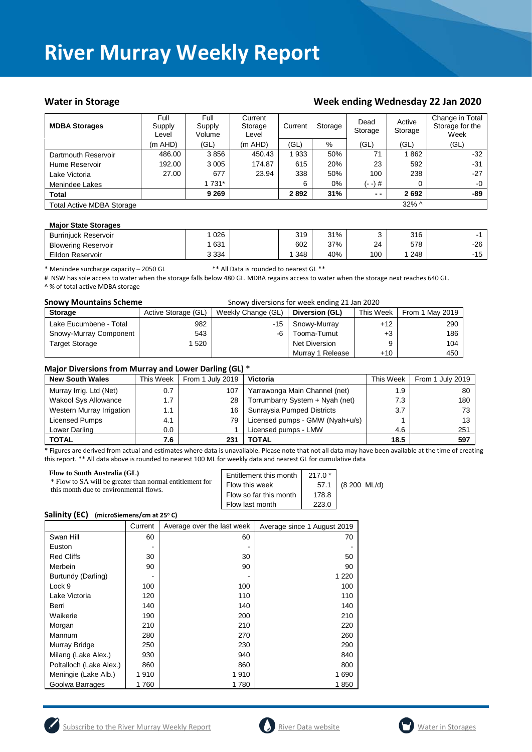#### Water in Storage Water in Storage Week ending Wednesday 22 Jan 2020

| <b>MDBA Storages</b>             | Full<br>Supply<br>Level | Full<br>Supply<br>Volume | Current<br>Storage<br>Level | Current<br>Storage |       | Dead<br>Storage |          | Change in Total<br>Storage for the<br>Week |
|----------------------------------|-------------------------|--------------------------|-----------------------------|--------------------|-------|-----------------|----------|--------------------------------------------|
|                                  | $(m$ AHD)               | (GL)                     | $(m$ AHD)                   | (GL)               | $\%$  | (GL)            | (GL)     | (GL)                                       |
| Dartmouth Reservoir              | 486.00                  | 3856                     | 450.43                      | '933               | 50%   | 71              | 1862     | $-32$                                      |
| Hume Reservoir                   | 192.00                  | 3 0 0 5                  | 174.87                      | 615                | 20%   | 23              | 592      | $-31$                                      |
| Lake Victoria                    | 27.00                   | 677                      | 23.94                       | 338                | 50%   | 100             | 238      | $-27$                                      |
| Menindee Lakes                   |                         | 1 731*                   |                             | 6                  | $0\%$ | (- -) #         | 0        | $-0$                                       |
| <b>Total</b>                     |                         | 9 2 6 9                  |                             | 2892               | 31%   | $ -$            | 2692     | -89                                        |
| <b>Total Active MDBA Storage</b> |                         |                          |                             |                    |       |                 | $32\%$ ^ |                                            |

#### **Major State Storages**

| <b>Burrinjuck Reservoir</b> | 026     | 319 | 31% |     | 316 |       |
|-----------------------------|---------|-----|-----|-----|-----|-------|
| <b>Blowering Reservoir</b>  | 631     | 602 | 37% | 24  | 578 | -26   |
| Eildon Reservoir            | 3 3 3 4 | 348 | 40% | 100 | 248 | $-15$ |

\* Menindee surcharge capacity – 2050 GL \*\* All Data is rounded to nearest GL \*\*

# NSW has sole access to water when the storage falls below 480 GL. MDBA regains access to water when the storage next reaches 640 GL. ^ % of total active MDBA storage

| <b>Snowy Mountains Scheme</b> |                     | Snowy diversions for week ending 21 Jan 2020 |                      |           |                 |
|-------------------------------|---------------------|----------------------------------------------|----------------------|-----------|-----------------|
| <b>Storage</b>                | Active Storage (GL) | Weekly Change (GL)                           | Diversion (GL)       | This Week | From 1 May 2019 |
| Lake Eucumbene - Total        | 982                 | -15                                          | Snowy-Murray         | $+12$     | 290             |
| Snowy-Murray Component        | 543                 | -6                                           | Tooma-Tumut          | $+3$      | 186             |
| <b>Target Storage</b>         | 1520                |                                              | <b>Net Diversion</b> |           | 104             |
|                               |                     |                                              | Murray 1 Release     | $+10$     | 450             |

#### **Major Diversions from Murray and Lower Darling (GL) \***

| <b>New South Wales</b>    | This Week | From 1 July 2019 | <b>Victoria</b>                 | This Week | From 1 July 2019 |
|---------------------------|-----------|------------------|---------------------------------|-----------|------------------|
| Murray Irrig. Ltd (Net)   | 0.7       | 107              | Yarrawonga Main Channel (net)   | 1.9       | 80               |
| Wakool Sys Allowance      | 1.7       | 28               | Torrumbarry System + Nyah (net) | 7.3       | 180              |
| Western Murray Irrigation | 1.1       | 16               | Sunraysia Pumped Districts      | 3.7       | 73 -             |
| Licensed Pumps            | 4.1       | 79               | Licensed pumps - GMW (Nyah+u/s) |           | 13               |
| Lower Darling             | $0.0\,$   |                  | Licensed pumps - LMW            | 4.6       | 251              |
| <b>TOTAL</b>              | 7.6       | 231              | TOTAL                           | 18.5      | 597              |

\* Figures are derived from actual and estimates where data is unavailable. Please note that not all data may have been available at the time of creating this report. \*\* All data above is rounded to nearest 100 ML for weekly data and nearest GL for cumulative data

| <b>Flow to South Australia (GL)</b>                      | Entitlement this month | $217.0*$ | (8 200 ML/d) |
|----------------------------------------------------------|------------------------|----------|--------------|
| * Flow to SA will be greater than normal entitlement for | Flow this week         | 57.1     |              |
| this month due to environmental flows.                   | Flow so far this month | 178.8    |              |
|                                                          | Flow last month        | 223.0    |              |

#### **Salinity (EC)** (microSiemens/cm at 25°C)

|                         | Current | Average over the last week | Average since 1 August 2019 |
|-------------------------|---------|----------------------------|-----------------------------|
| Swan Hill               | 60      | 60                         | 70                          |
| Euston                  |         |                            |                             |
| <b>Red Cliffs</b>       | 30      | 30                         | 50                          |
| Merbein                 | 90      | 90                         | 90                          |
| Burtundy (Darling)      |         |                            | 1 2 2 0                     |
| Lock 9                  | 100     | 100                        | 100                         |
| Lake Victoria           | 120     | 110                        | 110                         |
| Berri                   | 140     | 140                        | 140                         |
| Waikerie                | 190     | 200                        | 210                         |
| Morgan                  | 210     | 210                        | 220                         |
| Mannum                  | 280     | 270                        | 260                         |
| Murray Bridge           | 250     | 230                        | 290                         |
| Milang (Lake Alex.)     | 930     | 940                        | 840                         |
| Poltalloch (Lake Alex.) | 860     | 860                        | 800                         |
| Meningie (Lake Alb.)    | 1910    | 1910                       | 1690                        |
| Goolwa Barrages         | 1760    | 1780                       | 1850                        |





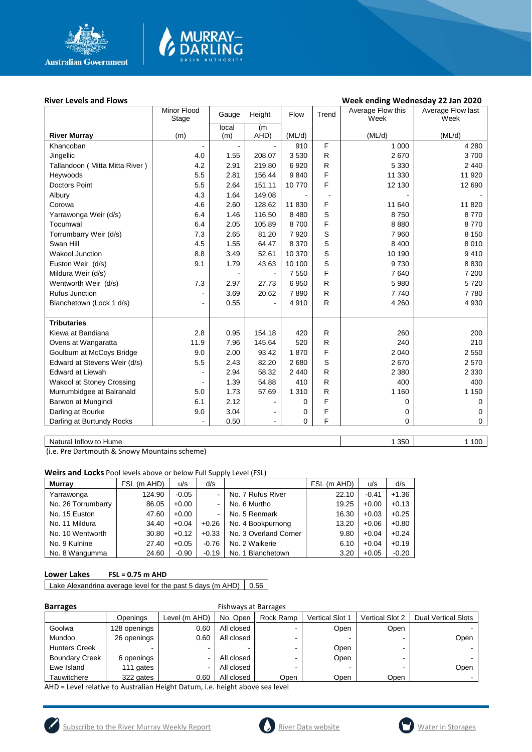

# MURRAY<mark>–</mark><br>DARLING

#### River Levels and Flows **River Levels and Flows Week ending Wednesday 22 Jan 2020**

|                                | Minor Flood<br>Stage | Height<br>Gauge |                | Flow    | Trend        | Average Flow this<br>Week | Average Flow last<br>Week |
|--------------------------------|----------------------|-----------------|----------------|---------|--------------|---------------------------|---------------------------|
|                                |                      | local           | (m)            |         |              |                           |                           |
| <b>River Murray</b>            | (m)                  | (m)             | AHD)           | (ML/d)  |              | (ML/d)                    | (ML/d)                    |
| Khancoban                      |                      |                 |                | 910     | F            | 1 0 0 0                   | 4 2 8 0                   |
| Jingellic                      | 4.0                  | 1.55            | 208.07         | 3530    | ${\sf R}$    | 2670                      | 3700                      |
| Tallandoon (Mitta Mitta River) | 4.2                  | 2.91            | 219.80         | 6920    | $\mathsf{R}$ | 5 3 3 0                   | 2 4 4 0                   |
| Heywoods                       | 5.5                  | 2.81            | 156.44         | 9840    | F            | 11 330                    | 11 920                    |
| <b>Doctors Point</b>           | 5.5                  | 2.64            | 151.11         | 10770   | F            | 12 130                    | 12 690                    |
| Albury                         | 4.3                  | 1.64            | 149.08         |         |              |                           |                           |
| Corowa                         | 4.6                  | 2.60            | 128.62         | 11 830  | F            | 11 640                    | 11 820                    |
| Yarrawonga Weir (d/s)          | 6.4                  | 1.46            | 116.50         | 8 4 8 0 | S            | 8750                      | 8770                      |
| Tocumwal                       | 6.4                  | 2.05            | 105.89         | 8700    | F            | 8880                      | 8770                      |
| Torrumbarry Weir (d/s)         | 7.3                  | 2.65            | 81.20          | 7920    | S            | 7960                      | 8 1 5 0                   |
| Swan Hill                      | 4.5                  | 1.55            | 64.47          | 8 3 7 0 | S            | 8 4 0 0                   | 8 0 1 0                   |
| <b>Wakool Junction</b>         | 8.8                  | 3.49            | 52.61          | 10 370  | S            | 10 190                    | 9410                      |
| Euston Weir (d/s)              | 9.1                  | 1.79            | 43.63          | 10 100  | S            | 9730                      | 8 8 3 0                   |
| Mildura Weir (d/s)             |                      | $\blacksquare$  |                | 7 5 5 0 | F            | 7640                      | 7 200                     |
| Wentworth Weir (d/s)           | 7.3                  | 2.97            | 27.73          | 6950    | $\mathsf{R}$ | 5 9 8 0                   | 5720                      |
| <b>Rufus Junction</b>          |                      | 3.69            | 20.62          | 7890    | $\mathsf{R}$ | 7740                      | 7780                      |
| Blanchetown (Lock 1 d/s)       |                      | 0.55            | $\blacksquare$ | 4910    | $\mathsf{R}$ | 4 2 6 0                   | 4 9 3 0                   |
|                                |                      |                 |                |         |              |                           |                           |
| <b>Tributaries</b>             |                      |                 |                |         |              |                           |                           |
| Kiewa at Bandiana              | 2.8                  | 0.95            | 154.18         | 420     | $\mathsf{R}$ | 260                       | 200                       |
| Ovens at Wangaratta            | 11.9                 | 7.96            | 145.64         | 520     | $\mathsf{R}$ | 240                       | 210                       |
| Goulburn at McCoys Bridge      | 9.0                  | 2.00            | 93.42          | 1870    | F            | 2 0 4 0                   | 2 5 5 0                   |
| Edward at Stevens Weir (d/s)   | 5.5                  | 2.43            | 82.20          | 2680    | S            | 2670                      | 2570                      |
| <b>Edward at Liewah</b>        |                      | 2.94            | 58.32          | 2 4 4 0 | $\mathsf{R}$ | 2 3 8 0                   | 2 3 3 0                   |
| Wakool at Stoney Crossing      |                      | 1.39            | 54.88          | 410     | $\mathsf{R}$ | 400                       | 400                       |
| Murrumbidgee at Balranald      | 5.0                  | 1.73            | 57.69          | 1 3 1 0 | $\mathsf{R}$ | 1 1 6 0                   | 1 1 5 0                   |
| Barwon at Mungindi             | 6.1                  | 2.12            |                | 0       | F            | 0                         | 0                         |
| Darling at Bourke              | 9.0                  | 3.04            |                | 0       | F            | 0                         | $\mathbf 0$               |
| Darling at Burtundy Rocks      |                      | 0.50            |                | 0       | F            | $\Omega$                  | $\mathbf 0$               |
|                                |                      |                 |                |         |              |                           |                           |

Natural Inflow to Hume 1 100

(i.e. Pre Dartmouth & Snowy Mountains scheme)

**Weirs and Locks** Pool levels above or below Full Supply Level (FSL)

| <b>Murrav</b>      | FSL (m AHD) | u/s     | d/s     |                       | FSL (m AHD) | u/s     | d/s     |
|--------------------|-------------|---------|---------|-----------------------|-------------|---------|---------|
| Yarrawonga         | 124.90      | $-0.05$ |         | No. 7 Rufus River     | 22.10       | $-0.41$ | $+1.36$ |
| No. 26 Torrumbarry | 86.05       | $+0.00$ | -       | No. 6 Murtho          | 19.25       | $+0.00$ | $+0.13$ |
| No. 15 Euston      | 47.60       | $+0.00$ |         | No. 5 Renmark         | 16.30       | $+0.03$ | $+0.25$ |
| No. 11 Mildura     | 34.40       | $+0.04$ | $+0.26$ | No. 4 Bookpurnong     | 13.20       | $+0.06$ | $+0.80$ |
| No. 10 Wentworth   | 30.80       | $+0.12$ | $+0.33$ | No. 3 Overland Corner | 9.80        | $+0.04$ | $+0.24$ |
| No. 9 Kulnine      | 27.40       | $+0.05$ | $-0.76$ | No. 2 Waikerie        | 6.10        | $+0.04$ | $+0.19$ |
| No. 8 Wangumma     | 24.60       | $-0.90$ | $-0.19$ | No. 1 Blanchetown     | 3.20        | $+0.05$ | $-0.20$ |

#### **Lower Lakes FSL = 0.75 m AHD**

Lake Alexandrina average level for the past 5 days (m AHD)  $\Big| 0.56$ 

#### **Barrages Exercise Exercise Exercise A** Fishways at Barrages

| -------               |              |                          |            |           |                        |                 |                            |
|-----------------------|--------------|--------------------------|------------|-----------|------------------------|-----------------|----------------------------|
|                       | Openings     | Level (m AHD)            | No. Open   | Rock Ramp | <b>Vertical Slot 1</b> | Vertical Slot 2 | <b>Dual Vertical Slots</b> |
| Goolwa                | 128 openings | 0.60                     | All closed |           | Open                   | Open            |                            |
| Mundoo                | 26 openings  | 0.60                     | All closed |           |                        |                 | Open                       |
| <b>Hunters Creek</b>  |              | $\overline{\phantom{a}}$ |            |           | Open                   | -               |                            |
| <b>Boundary Creek</b> | 6 openings   |                          | All closed |           | Open                   |                 |                            |
| Ewe Island            | 111 gates    |                          | All closed |           |                        |                 | Open                       |
| Tauwitchere           | 322 gates    | 0.60                     | All closed | Open      | Open                   | Open            |                            |

AHD = Level relative to Australian Height Datum, i.e. height above sea level